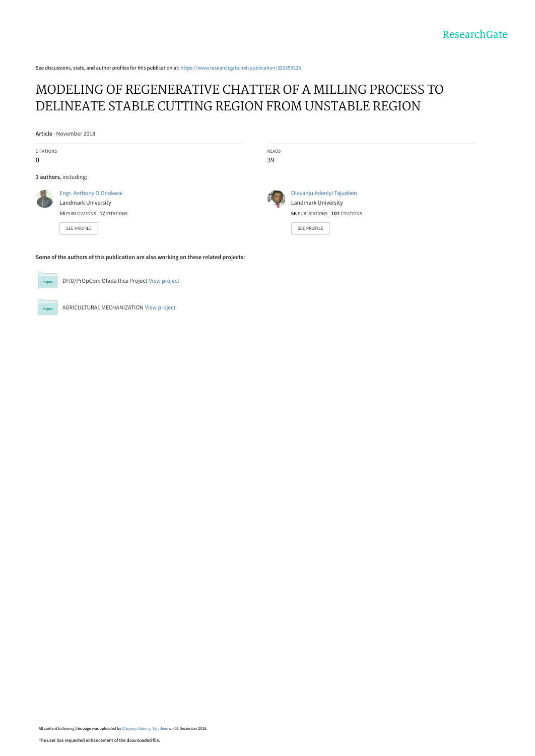See discussions, stats, and author profiles for this publication at: [https://www.researchgate.net/publication/329359226](https://www.researchgate.net/publication/329359226_MODELING_OF_REGENERATIVE_CHATTER_OF_A_MILLING_PROCESS_TO_DELINEATE_STABLE_CUTTING_REGION_FROM_UNSTABLE_REGION?enrichId=rgreq-50cfb0d84ad2c8a0b46b8cab29141722-XXX&enrichSource=Y292ZXJQYWdlOzMyOTM1OTIyNjtBUzo2OTk0MDY0NDk5MTM4NTdAMTU0Mzc2MjkwMDI0OQ%3D%3D&el=1_x_2&_esc=publicationCoverPdf)

# [MODELING OF REGENERATIVE CHATTER OF A MILLING PROCESS TO](https://www.researchgate.net/publication/329359226_MODELING_OF_REGENERATIVE_CHATTER_OF_A_MILLING_PROCESS_TO_DELINEATE_STABLE_CUTTING_REGION_FROM_UNSTABLE_REGION?enrichId=rgreq-50cfb0d84ad2c8a0b46b8cab29141722-XXX&enrichSource=Y292ZXJQYWdlOzMyOTM1OTIyNjtBUzo2OTk0MDY0NDk5MTM4NTdAMTU0Mzc2MjkwMDI0OQ%3D%3D&el=1_x_3&_esc=publicationCoverPdf) DELINEATE STABLE CUTTING REGION FROM UNSTABLE REGION

**Article** · November 2018

| <b>CITATIONS</b><br>$\mathbf 0$                                                     |                                                                                                      | READS<br>39 |                                                                                                         |  |
|-------------------------------------------------------------------------------------|------------------------------------------------------------------------------------------------------|-------------|---------------------------------------------------------------------------------------------------------|--|
| 3 authors, including:                                                               |                                                                                                      |             |                                                                                                         |  |
|                                                                                     | Engr. Anthony O Onokwai<br>Landmark University<br>14 PUBLICATIONS 17 CITATIONS<br><b>SEE PROFILE</b> |             | Olayanju Adeniyi Tajudeen<br>Landmark University<br>56 PUBLICATIONS 107 CITATIONS<br><b>SEE PROFILE</b> |  |
| Some of the authors of this publication are also working on these related projects: |                                                                                                      |             |                                                                                                         |  |

DFID/PrOpCom Ofada Rice Project [View project](https://www.researchgate.net/project/DFID-PrOpCom-Ofada-Rice-Project?enrichId=rgreq-50cfb0d84ad2c8a0b46b8cab29141722-XXX&enrichSource=Y292ZXJQYWdlOzMyOTM1OTIyNjtBUzo2OTk0MDY0NDk5MTM4NTdAMTU0Mzc2MjkwMDI0OQ%3D%3D&el=1_x_9&_esc=publicationCoverPdf)  $P_{\text{rel}}$ 

AGRICULTURAL MECHANIZATION [View project](https://www.researchgate.net/project/AGRICULTURAL-MECHANIZATION?enrichId=rgreq-50cfb0d84ad2c8a0b46b8cab29141722-XXX&enrichSource=Y292ZXJQYWdlOzMyOTM1OTIyNjtBUzo2OTk0MDY0NDk5MTM4NTdAMTU0Mzc2MjkwMDI0OQ%3D%3D&el=1_x_9&_esc=publicationCoverPdf)

All content following this page was uploaded by [Olayanju Adeniyi Tajudeen](https://www.researchgate.net/profile/Olayanju_Tajudeen?enrichId=rgreq-50cfb0d84ad2c8a0b46b8cab29141722-XXX&enrichSource=Y292ZXJQYWdlOzMyOTM1OTIyNjtBUzo2OTk0MDY0NDk5MTM4NTdAMTU0Mzc2MjkwMDI0OQ%3D%3D&el=1_x_10&_esc=publicationCoverPdf) on 02 December 2018.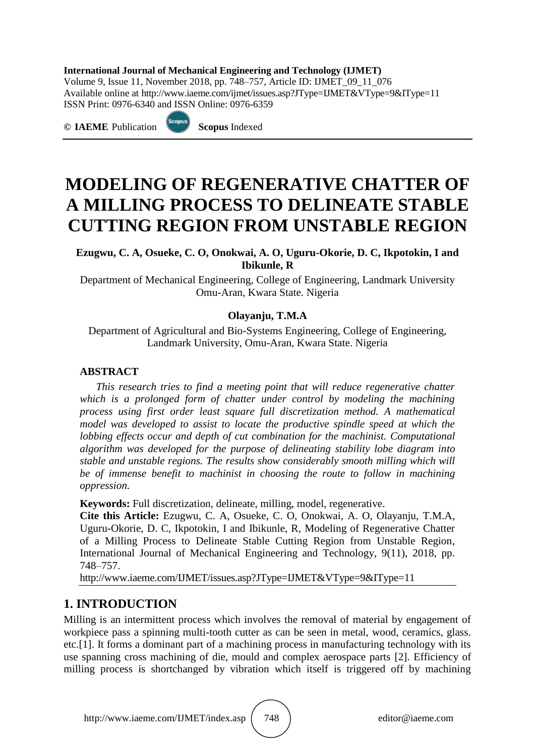### **International Journal of Mechanical Engineering and Technology (IJMET)**

Volume 9, Issue 11, November 2018, pp. 748–757, Article ID: IJMET\_09\_11\_076 Available online at http://www.iaeme.com/ijmet/issues.asp?JType=IJMET&VType=9&IType=11 ISSN Print: 0976-6340 and ISSN Online: 0976-6359

**© IAEME** Publication **Scopus** Indexed



# **MODELING OF REGENERATIVE CHATTER OF A MILLING PROCESS TO DELINEATE STABLE CUTTING REGION FROM UNSTABLE REGION**

**Ezugwu, C. A, Osueke, C. O, Onokwai, A. O, Uguru-Okorie, D. C, Ikpotokin, I and Ibikunle, R**

Department of Mechanical Engineering, College of Engineering, Landmark University Omu-Aran, Kwara State. Nigeria

### **Olayanju, T.M.A**

Department of Agricultural and Bio-Systems Engineering, College of Engineering, Landmark University, Omu-Aran, Kwara State. Nigeria

### **ABSTRACT**

*This research tries to find a meeting point that will reduce regenerative chatter which is a prolonged form of chatter under control by modeling the machining process using first order least square full discretization method. A mathematical model was developed to assist to locate the productive spindle speed at which the lobbing effects occur and depth of cut combination for the machinist. Computational algorithm was developed for the purpose of delineating stability lobe diagram into stable and unstable regions. The results show considerably smooth milling which will be of immense benefit to machinist in choosing the route to follow in machining oppression.*

**Keywords:** Full discretization, delineate, milling, model, regenerative.

**Cite this Article:** Ezugwu, C. A, Osueke, C. O, Onokwai, A. O, Olayanju, T.M.A, Uguru-Okorie, D. C, Ikpotokin, I and Ibikunle, R, Modeling of Regenerative Chatter of a Milling Process to Delineate Stable Cutting Region from Unstable Region, International Journal of Mechanical Engineering and Technology, 9(11), 2018, pp. 748–757.

http://www.iaeme.com/IJMET/issues.asp?JType=IJMET&VType=9&IType=11

# **1. INTRODUCTION**

Milling is an intermittent process which involves the removal of material by engagement of workpiece pass a spinning multi-tooth cutter as can be seen in metal, wood, ceramics, glass. etc.[1]. It forms a dominant part of a machining process in manufacturing technology with its use spanning cross machining of die, mould and complex aerospace parts [2]. Efficiency of milling process is shortchanged by vibration which itself is triggered off by machining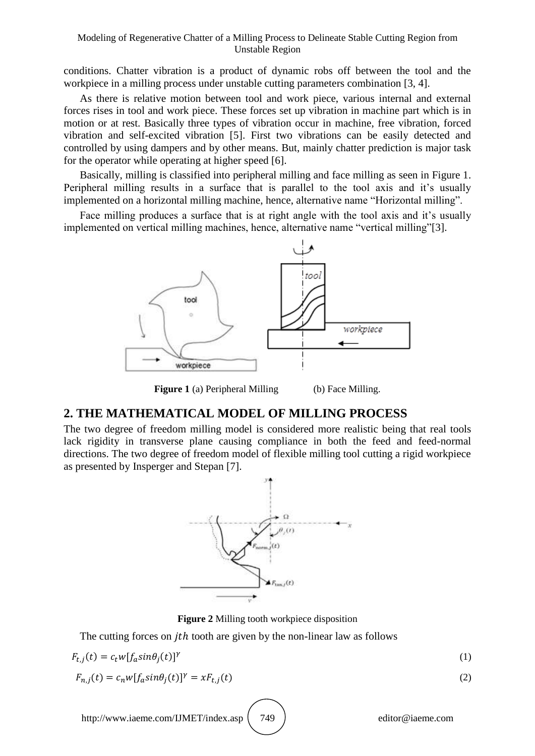#### Modeling of Regenerative Chatter of a Milling Process to Delineate Stable Cutting Region from Unstable Region

conditions. Chatter vibration is a product of dynamic robs off between the tool and the workpiece in a milling process under unstable cutting parameters combination [3, 4].

As there is relative motion between tool and work piece, various internal and external forces rises in tool and work piece. These forces set up vibration in machine part which is in motion or at rest. Basically three types of vibration occur in machine, free vibration, forced vibration and self-excited vibration [5]. First two vibrations can be easily detected and controlled by using dampers and by other means. But, mainly chatter prediction is major task for the operator while operating at higher speed [6].

Basically, milling is classified into peripheral milling and face milling as seen in Figure 1. Peripheral milling results in a surface that is parallel to the tool axis and it's usually implemented on a horizontal milling machine, hence, alternative name "Horizontal milling".

Face milling produces a surface that is at right angle with the tool axis and it's usually implemented on vertical milling machines, hence, alternative name "vertical milling"[3].



**Figure 1** (a) Peripheral Milling (b) Face Milling.

### **2. THE MATHEMATICAL MODEL OF MILLING PROCESS**

The two degree of freedom milling model is considered more realistic being that real tools lack rigidity in transverse plane causing compliance in both the feed and feed-normal directions. The two degree of freedom model of flexible milling tool cutting a rigid workpiece as presented by Insperger and Stepan [7].



**Figure 2** Milling tooth workpiece disposition

The cutting forces on *jth* tooth are given by the non-linear law as follows

$$
F_{t,i}(t) = c_t w[f_a sin\theta_i(t)]^\gamma
$$
\n(1)

$$
F_{n,i}(t) = c_n w [f_a \sin \theta_i(t)]^\gamma = x F_{t,i}(t)
$$
\n<sup>(2)</sup>

http://www.iaeme.com/IJMET/index.asp (749) editor@iaeme.com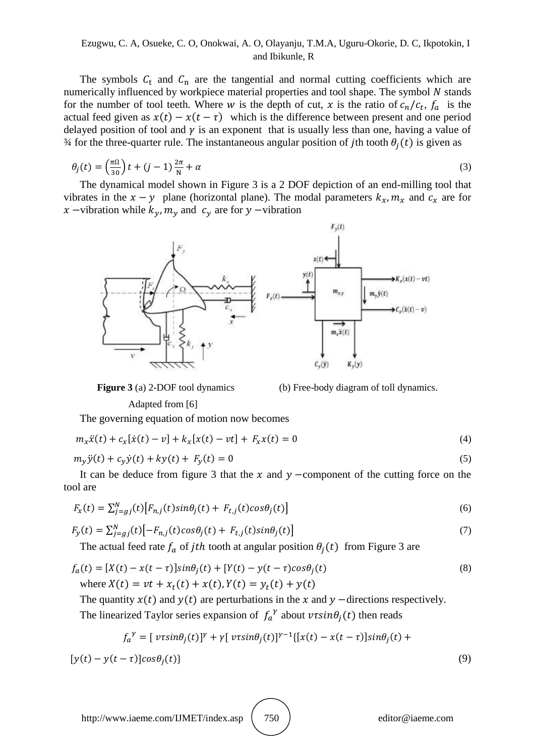### Ezugwu, C. A, Osueke, C. O, Onokwai, A. O, Olayanju, T.M.A, Uguru-Okorie, D. C, Ikpotokin, I and Ibikunle, R

The symbols  $C_t$  and  $C_n$  are the tangential and normal cutting coefficients which are numerically influenced by workpiece material properties and tool shape. The symbol  $N$  stands for the number of tool teeth. Where w is the depth of cut, x is the ratio of  $c_n/c_t$ ,  $f_a$  is the actual feed given as  $x(t) - x(t - \tau)$  which is the difference between present and one period delayed position of tool and  $\gamma$  is an exponent that is usually less than one, having a value of  $\frac{3}{4}$  for the three-quarter rule. The instantaneous angular position of jth tooth  $\theta_i(t)$  is given as

$$
\theta_j(t) = \left(\frac{\pi\Omega}{30}\right)t + (j-1)\frac{2\pi}{N} + \alpha\tag{3}
$$

The dynamical model shown in Figure 3 is a 2 DOF depiction of an end-milling tool that vibrates in the  $x - y$  plane (horizontal plane). The modal parameters  $k_x, m_x$  and  $c_x$  are for x –vibration while  $k_{\nu}$ ,  $m_{\nu}$  and  $c_{\nu}$  are for y –vibration



**Figure 3** (a) 2-DOF tool dynamics (b) Free-body diagram of toll dynamics.

Adapted from [6]

The governing equation of motion now becomes

$$
m_x \ddot{x}(t) + c_x[\dot{x}(t) - v] + k_x[x(t) - vt] + F_x x(t) = 0
$$
\n(4)

$$
m_y \ddot{y}(t) + c_y \dot{y}(t) + ky(t) + F_y(t) = 0
$$
\n(5)

It can be deduce from figure 3 that the x and  $y$  -component of the cutting force on the tool are

$$
F_x(t) = \sum_{j=gj}^{N}(t) \left[ F_{n,j}(t) \sin \theta_j(t) + F_{t,j}(t) \cos \theta_j(t) \right]
$$
\n<sup>(6)</sup>

$$
F_y(t) = \sum_{j=gj}^{N} (t) \left[ -F_{n,j}(t) \cos \theta_j(t) + F_{t,j}(t) \sin \theta_j(t) \right]
$$
\n<sup>(7)</sup>

The actual feed rate  $f_a$  of *jth* tooth at angular position  $\theta_i(t)$  from Figure 3 are

$$
f_a(t) = [X(t) - x(t - \tau)]sin\theta_j(t) + [Y(t) - y(t - \tau)cos\theta_j(t)]
$$
  
where  $X(t) = vt + x_t(t) + x(t)$ ,  $Y(t) = y_t(t) + y(t)$  (8)

The quantity  $x(t)$  and  $y(t)$  are perturbations in the x and y -directions respectively.

The linearized Taylor series expansion of  $f_a^{\gamma}$  about  $v \tau \sin \theta_i(t)$  then reads

$$
f_a^{\gamma} = [v\tau sin\theta_j(t)]^{\gamma} + \gamma [v\tau sin\theta_j(t)]^{\gamma-1} \{ [x(t) - x(t-\tau)]sin\theta_j(t) +
$$

 $[y(t) - y(t - \tau)]\cos\theta_i(t)$  (9)

http://www.iaeme.com/IJMET/index.asp (750) editor@iaeme.com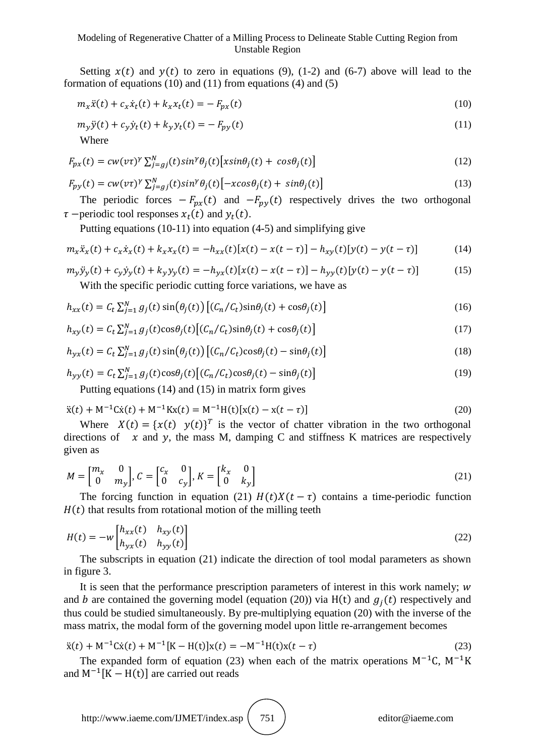#### Modeling of Regenerative Chatter of a Milling Process to Delineate Stable Cutting Region from Unstable Region

Setting  $x(t)$  and  $y(t)$  to zero in equations (9), (1-2) and (6-7) above will lead to the formation of equations (10) and (11) from equations (4) and (5)

$$
m_x \ddot{x}(t) + c_x \dot{x}_t(t) + k_x x_t(t) = -F_{px}(t)
$$
\n(10)

$$
m_y \ddot{y}(t) + c_y \dot{y}_t(t) + k_y y_t(t) = -F_{py}(t)
$$
\n(11)

Where

$$
F_{px}(t) = cw(v\tau)^{\gamma} \sum_{j=gj}^{N}(t) sin^{\gamma} \theta_j(t) \left[ x sin \theta_j(t) + cos \theta_j(t) \right]
$$
\n(12)

$$
F_{py}(t) = cw(v\tau)^{\gamma} \sum_{j=gj}^{N} (t) sin^{\gamma} \theta_j(t) \left[ -xcos\theta_j(t) + sin\theta_j(t) \right]
$$
\n(13)

The periodic forces  $-F_{px}(t)$  and  $-F_{py}(t)$  respectively drives the two orthogonal  $\tau$  –periodic tool responses  $x_t(t)$  and  $y_t(t)$ .

Putting equations (10-11) into equation (4-5) and simplifying give

$$
m_x \ddot{x}_x(t) + c_x \dot{x}_x(t) + k_x x_x(t) = -h_{xx}(t)[x(t) - x(t-\tau)] - h_{xy}(t)[y(t) - y(t-\tau)] \tag{14}
$$

$$
m_y \ddot{y}_y(t) + c_y \dot{y}_y(t) + k_y y_y(t) = -h_{yx}(t)[x(t) - x(t-\tau)] - h_{yy}(t)[y(t) - y(t-\tau)]
$$
\n<sup>(15)</sup>

With the specific periodic cutting force variations, we have as

$$
h_{xx}(t) = C_t \sum_{j=1}^{N} g_j(t) \sin(\theta_j(t)) \left[ (C_n/C_t) \sin(\theta_j(t)) + \cos(\theta_j(t)) \right]
$$
\n(16)

$$
h_{xy}(t) = C_t \sum_{j=1}^{N} g_j(t) \cos\theta_j(t) \left[ (C_n/C_t) \sin\theta_j(t) + \cos\theta_j(t) \right]
$$
\n(17)

$$
h_{yx}(t) = C_t \sum_{j=1}^{N} g_j(t) \sin(\theta_j(t)) \left[ (C_n/C_t) \cos(\theta_j(t)) - \sin(\theta_j(t)) \right]
$$
\n(18)

$$
h_{yy}(t) = C_t \sum_{j=1}^{N} g_j(t) \cos\theta_j(t) \left[ (C_n/C_t) \cos\theta_j(t) - \sin\theta_j(t) \right]
$$
\n(19)

Putting equations (14) and (15) in matrix form gives

$$
\ddot{x}(t) + M^{-1} \dot{C} \dot{x}(t) + M^{-1} K x(t) = M^{-1} H(t) [x(t) - x(t - \tau)] \tag{20}
$$

Where  $X(t) = {x(t) y(t)}^T$  is the vector of chatter vibration in the two orthogonal directions of  $x$  and y, the mass M, damping C and stiffness K matrices are respectively given as

$$
M = \begin{bmatrix} m_x & 0 \\ 0 & m_y \end{bmatrix}, C = \begin{bmatrix} c_x & 0 \\ 0 & c_y \end{bmatrix}, K = \begin{bmatrix} k_x & 0 \\ 0 & k_y \end{bmatrix}
$$
 (21)

The forcing function in equation (21)  $H(t)X(t-\tau)$  contains a time-periodic function  $H(t)$  that results from rotational motion of the milling teeth

$$
H(t) = -w \begin{bmatrix} h_{xx}(t) & h_{xy}(t) \\ h_{yx}(t) & h_{yy}(t) \end{bmatrix}
$$
 (22)

The subscripts in equation (21) indicate the direction of tool modal parameters as shown in figure 3.

It is seen that the performance prescription parameters of interest in this work namely;  $w$ and b are contained the governing model (equation (20)) via  $H(t)$  and  $g_i(t)$  respectively and thus could be studied simultaneously. By pre-multiplying equation (20) with the inverse of the mass matrix, the modal form of the governing model upon little re-arrangement becomes

$$
\ddot{x}(t) + M^{-1} \dot{C} \dot{x}(t) + M^{-1} [K - H(t)] x(t) = -M^{-1} H(t) x(t - \tau)
$$
\n(23)

The expanded form of equation (23) when each of the matrix operations  $M^{-1}C$ ,  $M^{-1}K$ and  $M^{-1}[K - H(t)]$  are carried out reads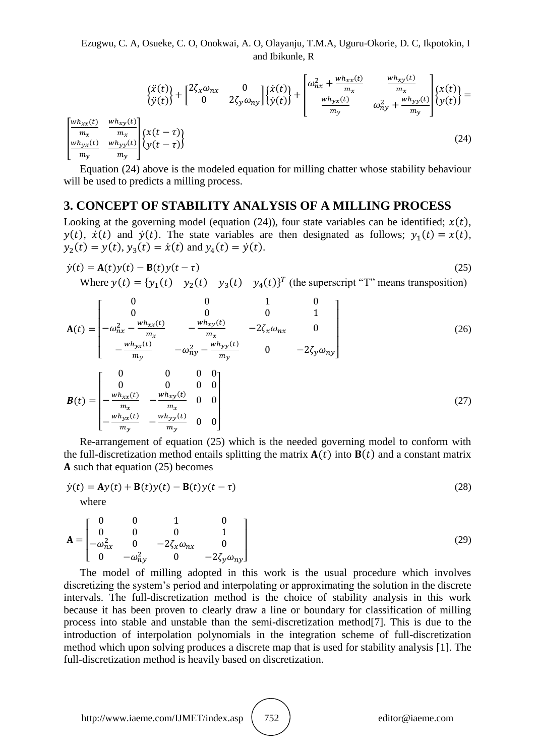Ezugwu, C. A, Osueke, C. O, Onokwai, A. O, Olayanju, T.M.A, Uguru-Okorie, D. C, Ikpotokin, I and Ibikunle, R

$$
\begin{aligned}\n\begin{bmatrix}\n\ddot{x}(t) \\
\ddot{y}(t)\n\end{bmatrix} + \begin{bmatrix}\n2\zeta_x \omega_{nx} & 0 \\
0 & 2\zeta_y \omega_{ny}\n\end{bmatrix} \begin{bmatrix}\n\dot{x}(t) \\
\dot{y}(t)\n\end{bmatrix} + \begin{bmatrix}\n\omega_{nx}^2 + \frac{w h_{xx}(t)}{m_x} & \frac{w h_{xy}(t)}{m_x} \\
\frac{w h_{yx}(t)}{m_y} & \omega_{ny}^2 + \frac{w h_{yy}(t)}{m_y}\n\end{bmatrix} \begin{Bmatrix}\n\dot{x}(t) \\
\dot{y}(t)\n\end{Bmatrix} = \begin{bmatrix}\n\frac{w h_{xx}(t)}{m_x} & \frac{w h_{yy}(t)}{m_y} \\
\frac{w h_{yx}(t)}{m_y} & \frac{w h_{yy}(t)}{m_y}\n\end{bmatrix} \begin{Bmatrix}\n\dot{x}(t) \\
\dot{y}(t)\n\end{Bmatrix} = (24)\n\end{aligned}
$$

Equation (24) above is the modeled equation for milling chatter whose stability behaviour will be used to predicts a milling process.

### **3. CONCEPT OF STABILITY ANALYSIS OF A MILLING PROCESS**

Looking at the governing model (equation (24)), four state variables can be identified;  $x(t)$ ,  $y(t)$ ,  $\dot{x}(t)$  and  $\dot{y}(t)$ . The state variables are then designated as follows;  $y_1(t) = x(t)$ ,  $y_2(t) = y(t), y_3(t) = \dot{x}(t)$  and  $y_4(t) = \dot{y}(t)$ .

$$
\dot{y}(t) = \mathbf{A}(t)y(t) - \mathbf{B}(t)y(t - \tau)
$$
\n(25)  
\nWhere  $y(t) = \{y_1(t) \quad y_2(t) \quad y_3(t) \quad y_4(t)\}^T$  (the superscript "T" means transposition)

$$
\mathbf{A}(t) = \begin{bmatrix}\n0 & 0 & 1 & 0 \\
0 & 0 & 0 & 1 \\
-\omega_{nx}^2 - \frac{wh_{xx}(t)}{m_x} & -\frac{wh_{xy}(t)}{m_x} & -2\zeta_x\omega_{nx} & 0 \\
-\frac{wh_{yx}(t)}{m_y} & -\omega_{ny}^2 - \frac{wh_{yy}(t)}{m_y} & 0 & -2\zeta_y\omega_{ny}\n\end{bmatrix}
$$
\n(26)\n
$$
\mathbf{B}(t) = \begin{bmatrix}\n0 & 0 & 0 & 0 \\
0 & 0 & 0 & 0 \\
-\frac{wh_{xx}(t)}{m_x} & -\frac{wh_{xy}(t)}{m_x} & 0 & 0 \\
-\frac{wh_{yx}(t)}{m_y} & -\frac{wh_{yy}(t)}{m_y} & 0 & 0\n\end{bmatrix}
$$
\n(27)

Re-arrangement of equation (25) which is the needed governing model to conform with the full-discretization method entails splitting the matrix  $A(t)$  into  $B(t)$  and a constant matrix A such that equation  $(25)$  becomes

$$
\dot{y}(t) = Ay(t) + B(t)y(t) - B(t)y(t-\tau)
$$
\nwhere\n(28)

$$
\mathbf{A} = \begin{bmatrix} 0 & 0 & 1 & 0 \\ 0 & 0 & 0 & 1 \\ -\omega_{nx}^2 & 0 & -2\zeta_x \omega_{nx} & 0 \\ 0 & -\omega_{ny}^2 & 0 & -2\zeta_y \omega_{ny} \end{bmatrix}
$$
(29)

The model of milling adopted in this work is the usual procedure which involves discretizing the system's period and interpolating or approximating the solution in the discrete intervals. The full-discretization method is the choice of stability analysis in this work because it has been proven to clearly draw a line or boundary for classification of milling process into stable and unstable than the semi-discretization method[7]. This is due to the introduction of interpolation polynomials in the integration scheme of full-discretization method which upon solving produces a discrete map that is used for stability analysis [1]. The full-discretization method is heavily based on discretization.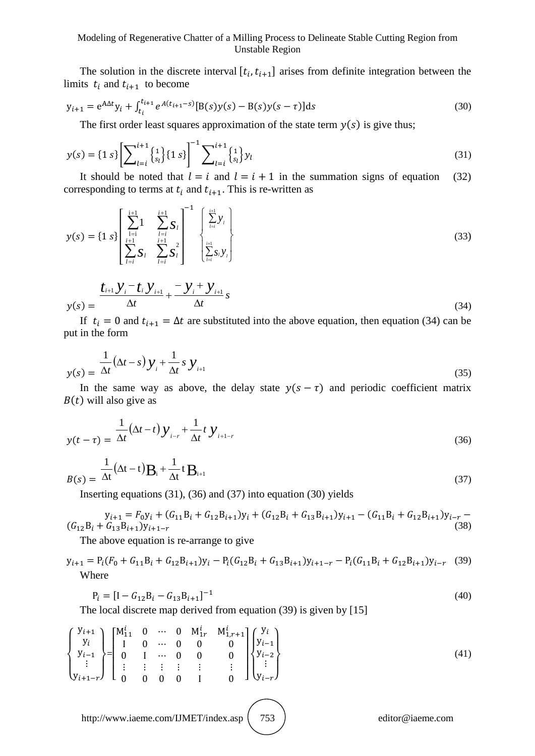The solution in the discrete interval  $[t_i, t_{i+1}]$  arises from definite integration between the limits  $t_i$  and  $t_{i+1}$  to become

$$
y_{i+1} = e^{A\Delta t} y_i + \int_{t_i}^{t_{i+1}} e^{A(t_{i+1}-s)} [B(s)y(s) - B(s)y(s-\tau)] ds
$$
\n(30)

The first order least squares approximation of the state term  $y(s)$  is give thus;

$$
y(s) = \{1 s\} \left[ \sum_{l=i}^{i+1} \begin{Bmatrix} 1 \\ s_l \end{Bmatrix} \{1 s\} \right]^{-1} \sum_{l=i}^{i+1} \begin{Bmatrix} 1 \\ s_l \end{Bmatrix} y_l
$$
(31)

It should be noted that  $l = i$  and  $l = i + 1$  in the summation signs of equation (32) corresponding to terms at  $t_i$  and  $t_{i+1}$ . This is re-written as

$$
y(s) = \left\{1 \ s\right\} \left[ \sum_{\substack{l=i \ l \neq j}}^{\frac{i+1}{i+1}} 1 \sum_{\substack{l=i \ l \neq j}}^{\frac{i+1}{i+1}} S_l \right]^{-1} \left[ \sum_{\substack{l=i \ l \neq j}}^{\frac{i+1}{i+1}} y_l \right] \tag{33}
$$

$$
y(s) = \frac{t_{i+1} y_i - t_i y_{i+1}}{\Delta t} + \frac{-y_i + y_{i+1}}{\Delta t} s
$$
\n(34)

If  $t_i = 0$  and  $t_{i+1} = \Delta t$  are substituted into the above equation, then equation (34) can be put in the form

$$
y(s) = \frac{1}{\Delta t} (\Delta t - s) y_i + \frac{1}{\Delta t} s y_{i+1}
$$
\n(35)

In the same way as above, the delay state  $y(s - \tau)$  and periodic coefficient matrix  $B(t)$  will also give as

$$
y(t-\tau) = \frac{1}{\Delta t} \left(\Delta t - t\right) y_{i-r} + \frac{1}{\Delta t} t y_{i+1-r}
$$
\n(36)

$$
B(s) = \frac{1}{\Delta t} (\Delta t - t) \mathbf{B}_{i} + \frac{1}{\Delta t} t \mathbf{B}_{i+1}
$$
\n(37)

Inserting equations (31), (36) and (37) into equation (30) yields

$$
y_{i+1} = F_0 y_i + (G_{11}B_i + G_{12}B_{i+1})y_i + (G_{12}B_i + G_{13}B_{i+1})y_{i+1} - (G_{11}B_i + G_{12}B_{i+1})y_{i-r} - (G_{12}B_i + G_{13}B_{i+1})y_{i+1-r}
$$
\n(38)

The above equation is re-arrange to give

$$
y_{i+1} = P_i(F_0 + G_{11}B_i + G_{12}B_{i+1})y_i - P_i(G_{12}B_i + G_{13}B_{i+1})y_{i+1-r} - P_i(G_{11}B_i + G_{12}B_{i+1})y_{i-r}
$$
 (39)  
Where

$$
P_i = [I - G_{12}B_i - G_{13}B_{i+1}]^{-1}
$$
\n(40)

The local discrete map derived from equation (39) is given by [15]

$$
\begin{Bmatrix} y_{i+1} \\ y_i \\ y_{i-1} \\ \vdots \\ y_{i+1-r} \end{Bmatrix} = \begin{bmatrix} M_{11}^i & 0 & \cdots & 0 & M_{1r}^i & M_{1,r+1}^i \\ 1 & 0 & \cdots & 0 & 0 & 0 \\ 0 & 1 & \cdots & 0 & 0 & 0 \\ \vdots & \vdots & \vdots & \vdots & \vdots & \vdots \\ 0 & 0 & 0 & 0 & 1 & 0 \end{bmatrix} \begin{Bmatrix} y_i \\ y_{i-1} \\ y_{i-2} \\ \vdots \\ y_{i-r} \end{Bmatrix}
$$
 (41)

http://www.iaeme.com/IJMET/index.asp  $(753)$  editor@iaeme.com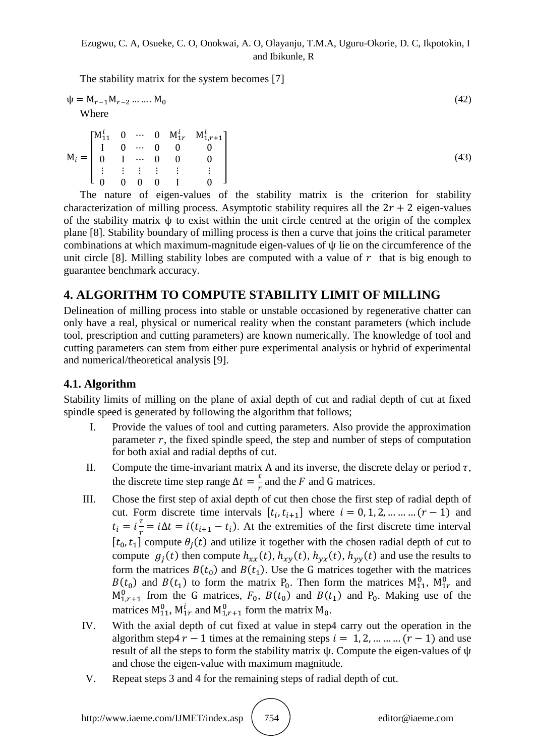The stability matrix for the system becomes [7]

$$
\Psi = M_{r-1} M_{r-2} \dots \dots M_0
$$
\nWhere

\n
$$
\tag{42}
$$

M  $\lfloor$ I I I  $\begin{bmatrix} M_{11}^i & 0 & \cdots & 0 & M_{1r}^i & M_1^i \end{bmatrix}$ I  $\boldsymbol{0}$  $\vdots$  $0 \t 0 \t 0 \t 1 \t 0$  $\overline{\phantom{a}}$  $\overline{\phantom{a}}$  $\overline{\phantom{a}}$  $\overline{\phantom{a}}$ (43)

The nature of eigen-values of the stability matrix is the criterion for stability characterization of milling process. Asymptotic stability requires all the  $2r + 2$  eigen-values of the stability matrix  $\psi$  to exist within the unit circle centred at the origin of the complex plane [8]. Stability boundary of milling process is then a curve that joins the critical parameter combinations at which maximum-magnitude eigen-values of  $\psi$  lie on the circumference of the unit circle [8]. Milling stability lobes are computed with a value of  $r$  that is big enough to guarantee benchmark accuracy.

# **4. ALGORITHM TO COMPUTE STABILITY LIMIT OF MILLING**

Delineation of milling process into stable or unstable occasioned by regenerative chatter can only have a real, physical or numerical reality when the constant parameters (which include tool, prescription and cutting parameters) are known numerically. The knowledge of tool and cutting parameters can stem from either pure experimental analysis or hybrid of experimental and numerical/theoretical analysis [9].

# **4.1. Algorithm**

Stability limits of milling on the plane of axial depth of cut and radial depth of cut at fixed spindle speed is generated by following the algorithm that follows;

- I. Provide the values of tool and cutting parameters. Also provide the approximation parameter  $r$ , the fixed spindle speed, the step and number of steps of computation for both axial and radial depths of cut.
- II. Compute the time-invariant matrix A and its inverse, the discrete delay or period  $\tau$ , the discrete time step range  $\Delta t = \frac{\tau}{n}$  $\frac{1}{r}$  and the F and G matrices.
- III. Chose the first step of axial depth of cut then chose the first step of radial depth of cut. Form discrete time intervals  $[t_i, t_{i+1}]$  where  $i = 0, 1, 2, \dots \dots (r-1)$  and  $t_i = i\frac{\tau}{n}$  $\frac{1}{r} = i\Delta t = i(t_{i+1} - t_i)$ . At the extremities of the first discrete time interval  $[t_0, t_1]$  compute  $\theta_i(t)$  and utilize it together with the chosen radial depth of cut to compute  $g_i(t)$  then compute  $h_{xx}(t)$ ,  $h_{xy}(t)$ ,  $h_{yx}(t)$ ,  $h_{yy}(t)$  and use the results to form the matrices  $B(t_0)$  and  $B(t_1)$ . Use the G matrices together with the matrices  $B(t_0)$  and  $B(t_1)$  to form the matrix  $P_0$ . Then form the matrices  $M_{11}^0$ ,  $M_{1r}^0$  and  $M_{1,r+1}^0$  from the G matrices,  $F_0$ ,  $B(t_0)$  and  $B(t_1)$  and  $P_0$ . Making use of the matrices  $M_{11}^0$ ,  $M_{1r}^i$  and  $M_{1r+1}^0$  form the matrix  $M_0$ .
- IV. With the axial depth of cut fixed at value in step4 carry out the operation in the algorithm step4  $r-1$  times at the remaining steps  $i = 1, 2, ...$  ... ...  $(r-1)$  and use result of all the steps to form the stability matrix  $\psi$ . Compute the eigen-values of  $\psi$ and chose the eigen-value with maximum magnitude.
- V. Repeat steps 3 and 4 for the remaining steps of radial depth of cut.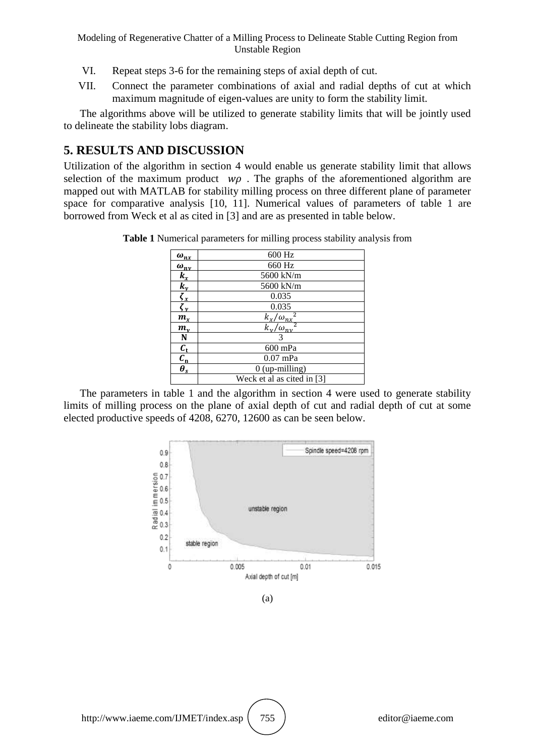- VI. Repeat steps 3-6 for the remaining steps of axial depth of cut.
- VII. Connect the parameter combinations of axial and radial depths of cut at which maximum magnitude of eigen-values are unity to form the stability limit.

The algorithms above will be utilized to generate stability limits that will be jointly used to delineate the stability lobs diagram.

# **5. RESULTS AND DISCUSSION**

Utilization of the algorithm in section 4 would enable us generate stability limit that allows selection of the maximum product  $w\rho$ . The graphs of the aforementioned algorithm are mapped out with MATLAB for stability milling process on three different plane of parameter space for comparative analysis [10, 11]. Numerical values of parameters of table 1 are borrowed from Weck et al as cited in [3] and are as presented in table below.

|                                   | 600 Hz                                        |  |
|-----------------------------------|-----------------------------------------------|--|
| $\frac{\omega_{nx}}{\omega_{ny}}$ | 660 Hz                                        |  |
|                                   | 5600 kN/m                                     |  |
| $k_v$                             | 5600 kN/m                                     |  |
|                                   | 0.035                                         |  |
| $\frac{\zeta_x}{\zeta_y}$         | 0.035                                         |  |
| $m_x$                             | $\frac{k_x/\omega_{nx}^2}{k_y/\omega_{ny}^2}$ |  |
| $m_{\nu}$                         |                                               |  |
| N                                 | 3                                             |  |
| $c_{t}$                           | 600 mPa                                       |  |
| $c_{\rm n}$                       | $0.07$ mPa                                    |  |
| $\overline{\theta_s}$             | $0$ (up-milling)                              |  |
|                                   | Weck et al as cited in [3]                    |  |

**Table 1** Numerical parameters for milling process stability analysis from

The parameters in table 1 and the algorithm in section 4 were used to generate stability limits of milling process on the plane of axial depth of cut and radial depth of cut at some elected productive speeds of 4208, 6270, 12600 as can be seen below.



(a)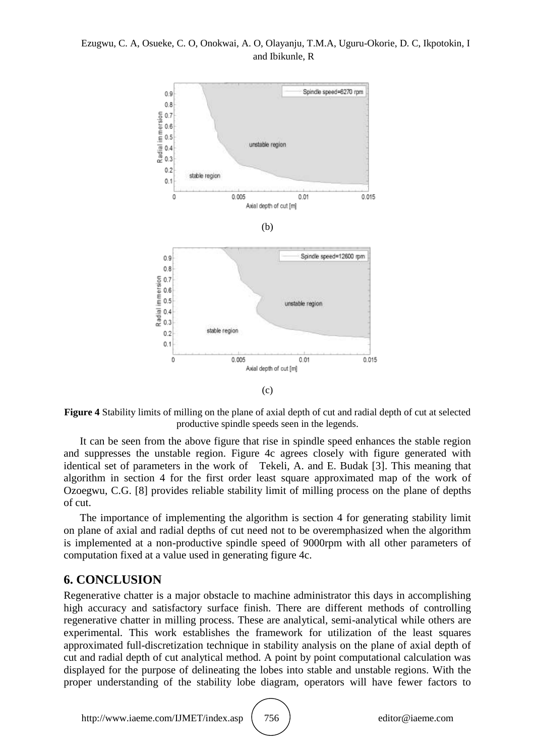### Ezugwu, C. A, Osueke, C. O, Onokwai, A. O, Olayanju, T.M.A, Uguru-Okorie, D. C, Ikpotokin, I and Ibikunle, R



**Figure 4** Stability limits of milling on the plane of axial depth of cut and radial depth of cut at selected productive spindle speeds seen in the legends.

It can be seen from the above figure that rise in spindle speed enhances the stable region and suppresses the unstable region. Figure 4c agrees closely with figure generated with identical set of parameters in the work of Tekeli, A. and E. Budak [3]. This meaning that algorithm in section 4 for the first order least square approximated map of the work of Ozoegwu, C.G. [8] provides reliable stability limit of milling process on the plane of depths of cut.

The importance of implementing the algorithm is section 4 for generating stability limit on plane of axial and radial depths of cut need not to be overemphasized when the algorithm is implemented at a non-productive spindle speed of 9000rpm with all other parameters of computation fixed at a value used in generating figure 4c.

# **6. CONCLUSION**

Regenerative chatter is a major obstacle to machine administrator this days in accomplishing high accuracy and satisfactory surface finish. There are different methods of controlling regenerative chatter in milling process. These are analytical, semi-analytical while others are experimental. This work establishes the framework for utilization of the least squares approximated full-discretization technique in stability analysis on the plane of axial depth of cut and radial depth of cut analytical method. A point by point computational calculation was displayed for the purpose of delineating the lobes into stable and unstable regions. With the proper understanding of the stability lobe diagram, operators will have fewer factors to